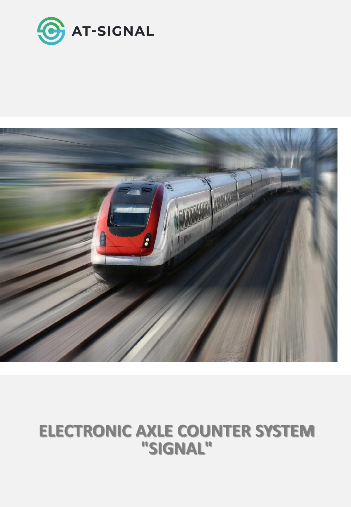



# **ELECTRONIC AXLE COUNTER SYSTEM "SIGNAL"**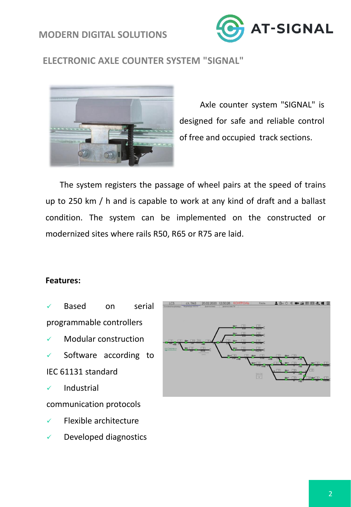# **MODERN DIGITAL SOLUTIONS**



# **ELECTRONIC AXLE COUNTER SYSTEM "SIGNAL"**



Axle counter system "SIGNAL" is designed for safe and reliable control of free and occupied track sections.

The system registers the passage of wheel pairs at the speed of trains up to 250 km / h and is capable to work at any kind of draft and a ballast condition. The system can be implemented on the constructed or modernized sites where rails R50, R65 or R75 are laid.

#### **Features:**

- Based on serial programmable controllers
- Modular construction
- ✓ Software according to IEC 61131 standard
- ✓ Industrial

communication protocols

- Flexible architecture
- ✓ Developed diagnostics

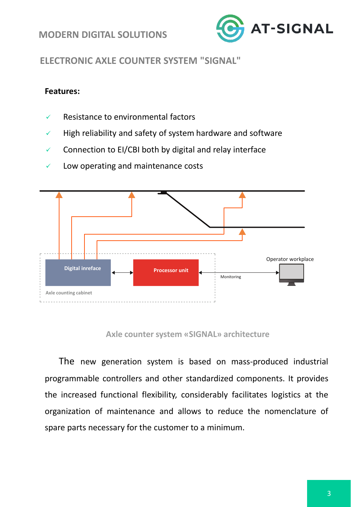## **MODERN DIGITAL SOLUTIONS**



# **ELECTRONIC AXLE COUNTER SYSTEM "SIGNAL"**

#### **Features:**

- $\checkmark$  Resistance to environmental factors
- ✓ High reliability and safety of system hardware and software
- ✓ Connection to EI/CBI both by digital and relay interface



✓ Low operating and maintenance costs

#### **Axle counter system «SIGNAL» architecture**

The new generation system is based on mass-produced industrial programmable controllers and other standardized components. It provides the increased functional flexibility, considerably facilitates logistics at the organization of maintenance and allows to reduce the nomenclature of spare parts necessary for the customer to a minimum.